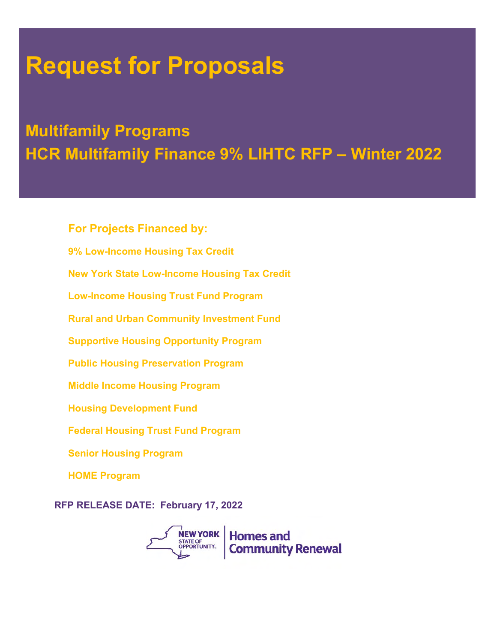# **Request for Proposals**

# **Multifamily Programs HCR Multifamily Finance 9% LIHTC RFP – Winter 2022**

9% Low-Income Housing Tax Credit **For Projects Financed by: New York State Low-Income Housing Tax Credit Low-Income Housing Trust Fund Program Rural and Urban Community Investment Fund Supportive Housing Opportunity Program Public Housing Preservation Program Middle Income Housing Program Housing Development Fund Federal Housing Trust Fund Program Senior Housing Program HOME Program**

**RFP RELEASE DATE: February 17, 2022**

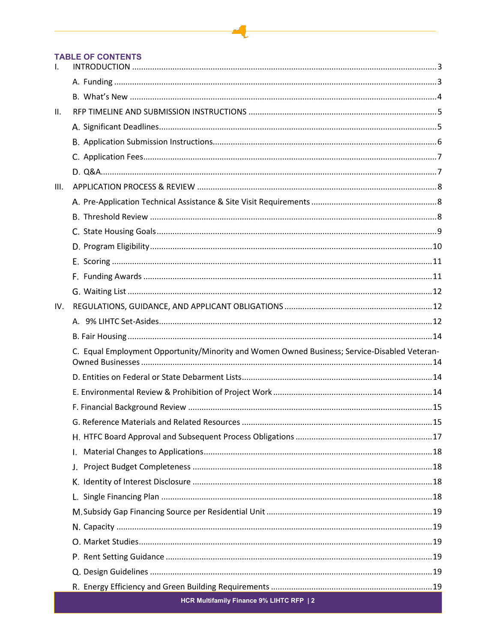#### **TABLE OF CONTENTS**

| $\mathbf{I}$ . |                                                                                              |  |
|----------------|----------------------------------------------------------------------------------------------|--|
|                |                                                                                              |  |
|                |                                                                                              |  |
| II.            |                                                                                              |  |
|                |                                                                                              |  |
|                |                                                                                              |  |
|                |                                                                                              |  |
|                |                                                                                              |  |
| III.           |                                                                                              |  |
|                |                                                                                              |  |
|                |                                                                                              |  |
|                |                                                                                              |  |
|                |                                                                                              |  |
|                |                                                                                              |  |
|                |                                                                                              |  |
|                |                                                                                              |  |
| IV.            |                                                                                              |  |
|                |                                                                                              |  |
|                |                                                                                              |  |
|                | C. Equal Employment Opportunity/Minority and Women Owned Business; Service-Disabled Veteran- |  |
|                |                                                                                              |  |
|                |                                                                                              |  |
|                |                                                                                              |  |
|                |                                                                                              |  |
|                |                                                                                              |  |
|                | I.                                                                                           |  |
|                |                                                                                              |  |
|                |                                                                                              |  |
|                |                                                                                              |  |
|                |                                                                                              |  |
|                |                                                                                              |  |
|                |                                                                                              |  |
|                |                                                                                              |  |
|                |                                                                                              |  |
|                |                                                                                              |  |
|                | HCR Multifamily Finance 9% LIHTC RFP   2                                                     |  |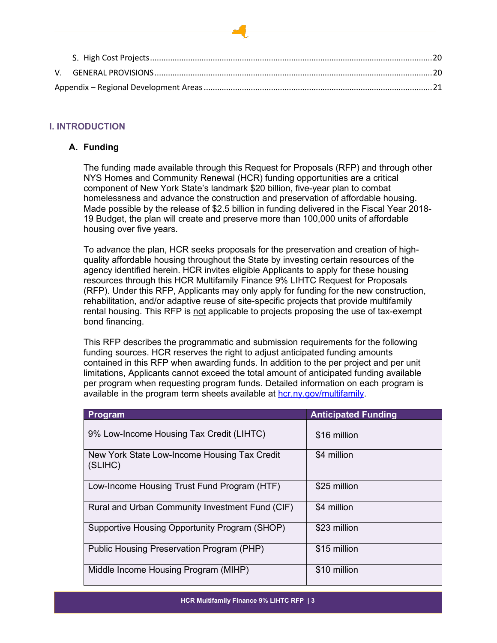# <span id="page-2-0"></span>**I. INTRODUCTION**

# <span id="page-2-1"></span>**A. Funding**

The funding made available through this Request for Proposals (RFP) and through other NYS Homes and Community Renewal (HCR) funding opportunities are a critical component of New York State's landmark \$20 billion, five-year plan to combat homelessness and advance the construction and preservation of affordable housing. Made possible by the release of \$2.5 billion in funding delivered in the Fiscal Year 2018- 19 Budget, the plan will create and preserve more than 100,000 units of affordable housing over five years.

To advance the plan, HCR seeks proposals for the preservation and creation of highquality affordable housing throughout the State by investing certain resources of the agency identified herein. HCR invites eligible Applicants to apply for these housing resources through this HCR Multifamily Finance 9% LIHTC Request for Proposals (RFP). Under this RFP, Applicants may only apply for funding for the new construction, rehabilitation, and/or adaptive reuse of site-specific projects that provide multifamily rental housing. This RFP is not applicable to projects proposing the use of tax-exempt bond financing.

This RFP describes the programmatic and submission requirements for the following funding sources. HCR reserves the right to adjust anticipated funding amounts contained in this RFP when awarding funds. In addition to the per project and per unit limitations, Applicants cannot exceed the total amount of anticipated funding available per program when requesting program funds. Detailed information on each program is available in the program term sheets available at [hcr.ny.gov/multifamily.](https://hcr.ny.gov/multifamily)

| Program                                                 | <b>Anticipated Funding</b> |
|---------------------------------------------------------|----------------------------|
| 9% Low-Income Housing Tax Credit (LIHTC)                | \$16 million               |
| New York State Low-Income Housing Tax Credit<br>(SLIHC) | \$4 million                |
| Low-Income Housing Trust Fund Program (HTF)             | \$25 million               |
| Rural and Urban Community Investment Fund (CIF)         | \$4 million                |
| Supportive Housing Opportunity Program (SHOP)           | \$23 million               |
| Public Housing Preservation Program (PHP)               | \$15 million               |
| Middle Income Housing Program (MIHP)                    | \$10 million               |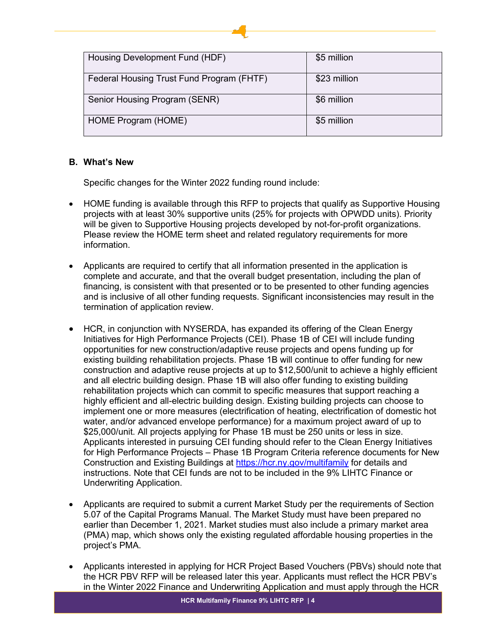| Housing Development Fund (HDF)            | \$5 million  |
|-------------------------------------------|--------------|
| Federal Housing Trust Fund Program (FHTF) | \$23 million |
| Senior Housing Program (SENR)             | \$6 million  |
| HOME Program (HOME)                       | \$5 million  |

# <span id="page-3-0"></span>**B. What's New**

Specific changes for the Winter 2022 funding round include:

- HOME funding is available through this RFP to projects that qualify as Supportive Housing projects with at least 30% supportive units (25% for projects with OPWDD units). Priority will be given to Supportive Housing projects developed by not-for-profit organizations. Please review the HOME term sheet and related regulatory requirements for more information.
- Applicants are required to certify that all information presented in the application is complete and accurate, and that the overall budget presentation, including the plan of financing, is consistent with that presented or to be presented to other funding agencies and is inclusive of all other funding requests. Significant inconsistencies may result in the termination of application review.
- HCR, in conjunction with NYSERDA, has expanded its offering of the Clean Energy Initiatives for High Performance Projects (CEI). Phase 1B of CEI will include funding opportunities for new construction/adaptive reuse projects and opens funding up for existing building rehabilitation projects. Phase 1B will continue to offer funding for new construction and adaptive reuse projects at up to \$12,500/unit to achieve a highly efficient and all electric building design. Phase 1B will also offer funding to existing building rehabilitation projects which can commit to specific measures that support reaching a highly efficient and all-electric building design. Existing building projects can choose to implement one or more measures (electrification of heating, electrification of domestic hot water, and/or advanced envelope performance) for a maximum project award of up to \$25,000/unit. All projects applying for Phase 1B must be 250 units or less in size. Applicants interested in pursuing CEI funding should refer to the Clean Energy Initiatives for High Performance Projects – Phase 1B Program Criteria reference documents for New Construction and Existing Buildings at<https://hcr.ny.gov/multifamily> for details and instructions. Note that CEI funds are not to be included in the 9% LIHTC Finance or Underwriting Application.
- Applicants are required to submit a current Market Study per the requirements of Section 5.07 of the Capital Programs Manual. The Market Study must have been prepared no earlier than December 1, 2021. Market studies must also include a primary market area (PMA) map, which shows only the existing regulated affordable housing properties in the project's PMA.
- Applicants interested in applying for HCR Project Based Vouchers (PBVs) should note that the HCR PBV RFP will be released later this year. Applicants must reflect the HCR PBV's in the Winter 2022 Finance and Underwriting Application and must apply through the HCR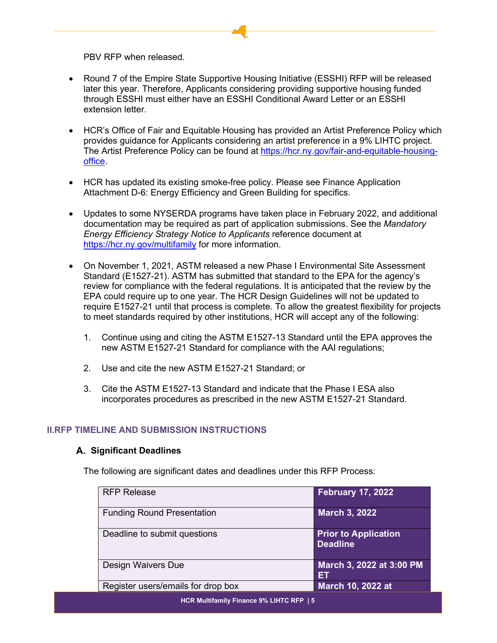PBV RFP when released.

- Round 7 of the Empire State Supportive Housing Initiative (ESSHI) RFP will be released later this year. Therefore, Applicants considering providing supportive housing funded through ESSHI must either have an ESSHI Conditional Award Letter or an ESSHI extension letter.
- HCR's Office of Fair and Equitable Housing has provided an Artist Preference Policy which provides guidance for Applicants considering an artist preference in a 9% LIHTC project. The Artist Preference Policy can be found at [https://hcr.ny.gov/fair-and-equitable-housing](https://hcr.ny.gov/fair-and-equitable-housing-office)[office.](https://hcr.ny.gov/fair-and-equitable-housing-office)
- HCR has updated its existing smoke-free policy. Please see Finance Application Attachment D-6: Energy Efficiency and Green Building for specifics.
- Updates to some NYSERDA programs have taken place in February 2022, and additional documentation may be required as part of application submissions. See the *Mandatory Energy Efficiency Strategy Notice to Applicants* reference document at <https://hcr.ny.gov/multifamily> for more information.
- On November 1, 2021, ASTM released a new Phase I Environmental Site Assessment Standard (E1527-21). ASTM has submitted that standard to the EPA for the agency's review for compliance with the federal regulations. It is anticipated that the review by the EPA could require up to one year. The HCR Design Guidelines will not be updated to require E1527-21 until that process is complete. To allow the greatest flexibility for projects to meet standards required by other institutions, HCR will accept any of the following:
	- 1. Continue using and citing the ASTM E1527-13 Standard until the EPA approves the new ASTM E1527-21 Standard for compliance with the AAI regulations;
	- 2. Use and cite the new ASTM E1527-21 Standard; or
	- 3. Cite the ASTM E1527-13 Standard and indicate that the Phase I ESA also incorporates procedures as prescribed in the new ASTM E1527-21 Standard.

# <span id="page-4-1"></span><span id="page-4-0"></span>**II.RFP TIMELINE AND SUBMISSION INSTRUCTIONS**

#### **Significant Deadlines**

The following are significant dates and deadlines under this RFP Process:

| <b>RFP Release</b>                 | <b>February 17, 2022</b>                       |
|------------------------------------|------------------------------------------------|
| <b>Funding Round Presentation</b>  | <b>March 3, 2022</b>                           |
| Deadline to submit questions       | <b>Prior to Application</b><br><b>Deadline</b> |
| Design Waivers Due                 | March 3, 2022 at 3:00 PM<br>EΤ                 |
| Register users/emails for drop box | <b>March 10, 2022 at</b>                       |
|                                    |                                                |

**HCR Multifamily Finance 9% LIHTC RFP | 5**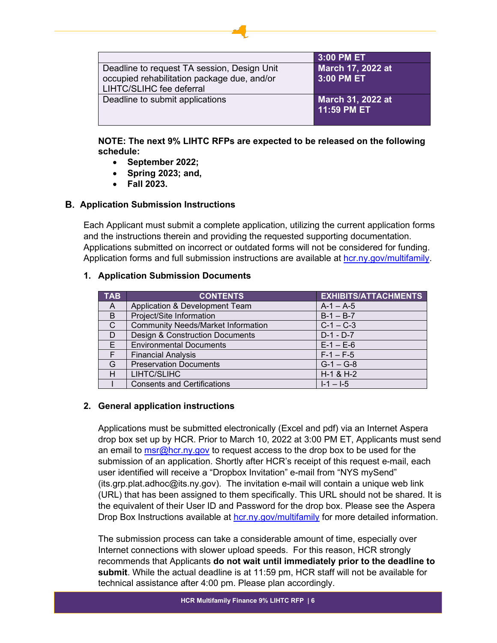|                                             | 3:00 PM ET               |
|---------------------------------------------|--------------------------|
| Deadline to request TA session, Design Unit | <b>March 17, 2022 at</b> |
| occupied rehabilitation package due, and/or | 3:00 PM ET               |
| LIHTC/SLIHC fee deferral                    |                          |
| Deadline to submit applications             | <b>March 31, 2022 at</b> |
|                                             | 11:59 PM ET              |
|                                             |                          |

# **NOTE: The next 9% LIHTC RFPs are expected to be released on the following schedule:**

- **September 2022;**
- **Spring 2023; and,**
- **Fall 2023.**

# <span id="page-5-0"></span>**Application Submission Instructions**

Each Applicant must submit a complete application, utilizing the current application forms and the instructions therein and providing the requested supporting documentation. Applications submitted on incorrect or outdated forms will not be considered for funding. Application forms and full submission instructions are available at [hcr.ny.gov/multifamily.](https://hcr.ny.gov/multifamily)

# **1. Application Submission Documents**

| <b>TAB</b> | <b>CONTENTS</b>                            | <b>EXHIBITS/ATTACHMENTS</b> |
|------------|--------------------------------------------|-----------------------------|
| A          | Application & Development Team             | $A-1 - A-5$                 |
| B          | Project/Site Information                   | $B-1 - B-7$                 |
| C          | <b>Community Needs/Market Information</b>  | $C-1 - C-3$                 |
| D          | <b>Design &amp; Construction Documents</b> | $D-1 - D-7$                 |
| E          | <b>Environmental Documents</b>             | $E - 1 - E - 6$             |
| F.         | <b>Financial Analysis</b>                  | $F-1 - F-5$                 |
| G          | <b>Preservation Documents</b>              | $G-1 - G-8$                 |
| н          | LIHTC/SLIHC                                | $H-1$ & $H-2$               |
|            | <b>Consents and Certifications</b>         | $I - 1 - I - 5$             |

# **2. General application instructions**

Applications must be submitted electronically (Excel and pdf) via an Internet Aspera drop box set up by HCR. Prior to March 10, 2022 at 3:00 PM ET, Applicants must send an email to **[msr@hcr.ny.gov](mailto:msr@hcr.ny.gov)** to request access to the drop box to be used for the submission of an application. Shortly after HCR's receipt of this request e-mail, each user identified will receive a "Dropbox Invitation" e-mail from "NYS mySend" (its.grp.plat.adhoc@its.ny.gov). The invitation e-mail will contain a unique web link (URL) that has been assigned to them specifically. This URL should not be shared. It is the equivalent of their User ID and Password for the drop box. Please see the Aspera Drop Box Instructions available at [hcr.ny.gov/multifamily](https://hcr.ny.gov/multifamily) for more detailed information.

The submission process can take a considerable amount of time, especially over Internet connections with slower upload speeds. For this reason, HCR strongly recommends that Applicants **do not wait until immediately prior to the deadline to submit**. While the actual deadline is at 11:59 pm, HCR staff will not be available for technical assistance after 4:00 pm. Please plan accordingly.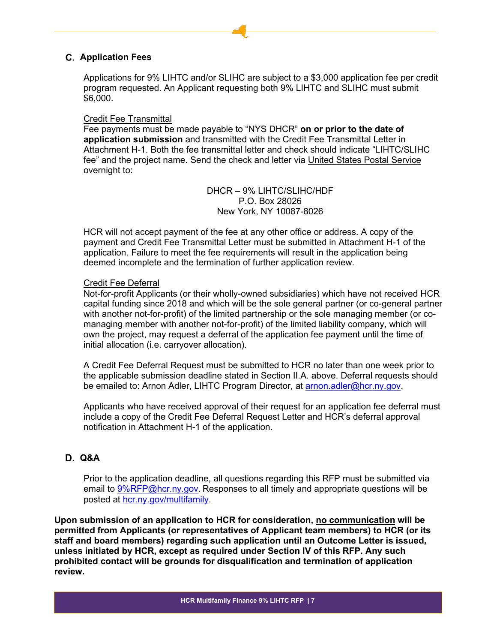# <span id="page-6-0"></span>**Application Fees**

Applications for 9% LIHTC and/or SLIHC are subject to a \$3,000 application fee per credit program requested. An Applicant requesting both 9% LIHTC and SLIHC must submit \$6,000.

#### Credit Fee Transmittal

Fee payments must be made payable to "NYS DHCR" **on or prior to the date of application submission** and transmitted with the Credit Fee Transmittal Letter in Attachment H-1. Both the fee transmittal letter and check should indicate "LIHTC/SLIHC fee" and the project name. Send the check and letter via United States Postal Service overnight to:

> DHCR – 9% LIHTC/SLIHC/HDF P.O. Box 28026 New York, NY 10087-8026

HCR will not accept payment of the fee at any other office or address. A copy of the payment and Credit Fee Transmittal Letter must be submitted in Attachment H-1 of the application. Failure to meet the fee requirements will result in the application being deemed incomplete and the termination of further application review.

## Credit Fee Deferral

Not-for-profit Applicants (or their wholly-owned subsidiaries) which have not received HCR capital funding since 2018 and which will be the sole general partner (or co-general partner with another not-for-profit) of the limited partnership or the sole managing member (or comanaging member with another not-for-profit) of the limited liability company, which will own the project, may request a deferral of the application fee payment until the time of initial allocation (i.e. carryover allocation).

A Credit Fee Deferral Request must be submitted to HCR no later than one week prior to the applicable submission deadline stated in Section II.A. above. Deferral requests should be emailed to: Arnon Adler, LIHTC Program Director, at [arnon.adler@hcr.ny.gov.](mailto:arnon.adler@hcr.ny.gov)

Applicants who have received approval of their request for an application fee deferral must include a copy of the Credit Fee Deferral Request Letter and HCR's deferral approval notification in Attachment H-1 of the application.

# <span id="page-6-1"></span>**Q&A**

Prior to the application deadline, all questions regarding this RFP must be submitted via email to [9%RFP@hcr.ny.gov](mailto:9%25RFP@hcr.ny.gov). Responses to all timely and appropriate questions will be posted at [hcr.ny.gov/multifamily.](https://hcr.ny.gov/multifamily)

**Upon submission of an application to HCR for consideration, no communication will be permitted from Applicants (or representatives of Applicant team members) to HCR (or its staff and board members) regarding such application until an Outcome Letter is issued, unless initiated by HCR, except as required under Section IV of this RFP. Any such prohibited contact will be grounds for disqualification and termination of application review.**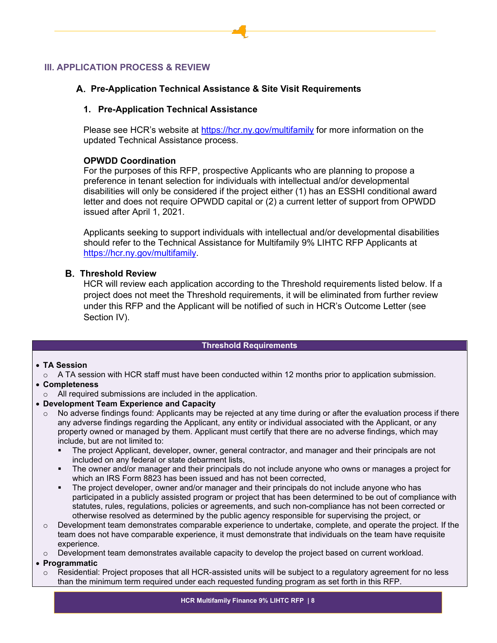# <span id="page-7-1"></span><span id="page-7-0"></span>**III. APPLICATION PROCESS & REVIEW**

#### **Pre-Application Technical Assistance & Site Visit Requirements**

#### **1. Pre-Application Technical Assistance**

Please see HCR's website at<https://hcr.ny.gov/multifamily> for more information on the updated Technical Assistance process.

#### **OPWDD Coordination**

For the purposes of this RFP, prospective Applicants who are planning to propose a preference in tenant selection for individuals with intellectual and/or developmental disabilities will only be considered if the project either (1) has an ESSHI conditional award letter and does not require OPWDD capital or (2) a current letter of support from OPWDD issued after April 1, 2021.

Applicants seeking to support individuals with intellectual and/or developmental disabilities should refer to the Technical Assistance for Multifamily 9% LIHTC RFP Applicants at [https://hcr.ny.gov/multifamily.](https://hcr.ny.gov/multifamily)

#### <span id="page-7-2"></span>**Threshold Review**

HCR will review each application according to the Threshold requirements listed below. If a project does not meet the Threshold requirements, it will be eliminated from further review under this RFP and the Applicant will be notified of such in HCR's Outcome Letter (see Section IV).

#### **Threshold Requirements**

### • **TA Session**

 $\circ$  A TA session with HCR staff must have been conducted within 12 months prior to application submission.

#### • **Completeness**

- o All required submissions are included in the application.
- **Development Team Experience and Capacity**
	- $\circ$  No adverse findings found: Applicants may be rejected at any time during or after the evaluation process if there any adverse findings regarding the Applicant, any entity or individual associated with the Applicant, or any property owned or managed by them. Applicant must certify that there are no adverse findings, which may include, but are not limited to:
		- The project Applicant, developer, owner, general contractor, and manager and their principals are not included on any federal or state debarment lists,
		- The owner and/or manager and their principals do not include anyone who owns or manages a project for which an IRS Form 8823 has been issued and has not been corrected,
		- The project developer, owner and/or manager and their principals do not include anyone who has participated in a publicly assisted program or project that has been determined to be out of compliance with statutes, rules, regulations, policies or agreements, and such non-compliance has not been corrected or otherwise resolved as determined by the public agency responsible for supervising the project, or
	- $\circ$  Development team demonstrates comparable experience to undertake, complete, and operate the project. If the team does not have comparable experience, it must demonstrate that individuals on the team have requisite experience.
- $\circ$  Development team demonstrates available capacity to develop the project based on current workload.

#### • **Programmatic**

 $\circ$  Residential: Project proposes that all HCR-assisted units will be subject to a regulatory agreement for no less than the minimum term required under each requested funding program as set forth in this RFP.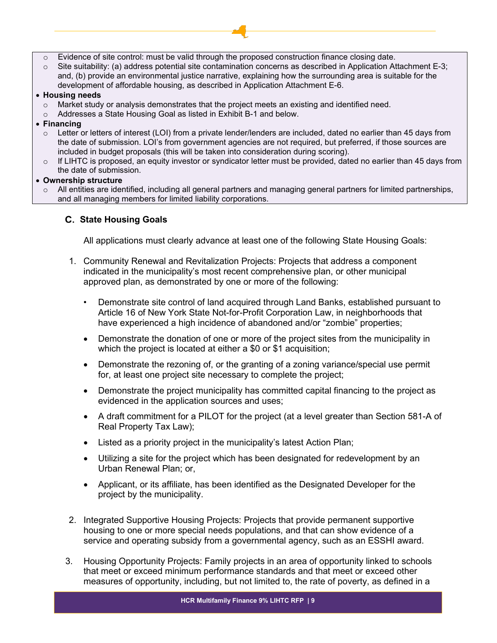- $\circ$  Evidence of site control: must be valid through the proposed construction finance closing date.
- $\circ$  Site suitability: (a) address potential site contamination concerns as described in Application Attachment E-3; and, (b) provide an environmental justice narrative, explaining how the surrounding area is suitable for the development of affordable housing, as described in Application Attachment E-6.

#### • **Housing needs**

- $\circ$  Market study or analysis demonstrates that the project meets an existing and identified need.
- o Addresses a State Housing Goal as listed in Exhibit B-1 and below.

#### • **Financing**

- $\circ$  Letter or letters of interest (LOI) from a private lender/lenders are included, dated no earlier than 45 days from the date of submission. LOI's from government agencies are not required, but preferred, if those sources are included in budget proposals (this will be taken into consideration during scoring).
- $\circ$  If LIHTC is proposed, an equity investor or syndicator letter must be provided, dated no earlier than 45 days from the date of submission.

#### • **Ownership structure**

 $\circ$  All entities are identified, including all general partners and managing general partners for limited partnerships, and all managing members for limited liability corporations.

# <span id="page-8-0"></span>**State Housing Goals**

All applications must clearly advance at least one of the following State Housing Goals:

- 1. Community Renewal and Revitalization Projects: Projects that address a component indicated in the municipality's most recent comprehensive plan, or other municipal approved plan, as demonstrated by one or more of the following:
	- Demonstrate site control of land acquired through Land Banks, established pursuant to Article 16 of New York State Not-for-Profit Corporation Law, in neighborhoods that have experienced a high incidence of abandoned and/or "zombie" properties;
	- Demonstrate the donation of one or more of the project sites from the municipality in which the project is located at either a \$0 or \$1 acquisition;
	- Demonstrate the rezoning of, or the granting of a zoning variance/special use permit for, at least one project site necessary to complete the project;
	- Demonstrate the project municipality has committed capital financing to the project as evidenced in the application sources and uses;
	- A draft commitment for a PILOT for the project (at a level greater than Section 581-A of Real Property Tax Law);
	- Listed as a priority project in the municipality's latest Action Plan;
	- Utilizing a site for the project which has been designated for redevelopment by an Urban Renewal Plan; or,
	- Applicant, or its affiliate, has been identified as the Designated Developer for the project by the municipality.
- 2. Integrated Supportive Housing Projects: Projects that provide permanent supportive housing to one or more special needs populations, and that can show evidence of a service and operating subsidy from a governmental agency, such as an ESSHI award.
- 3. Housing Opportunity Projects: Family projects in an area of opportunity linked to schools that meet or exceed minimum performance standards and that meet or exceed other measures of opportunity, including, but not limited to, the rate of poverty, as defined in a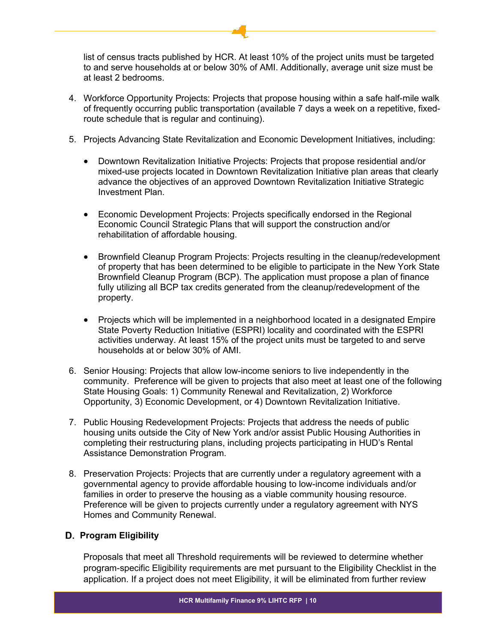list of census tracts published by HCR. At least 10% of the project units must be targeted to and serve households at or below 30% of AMI. Additionally, average unit size must be at least 2 bedrooms.

- 4. Workforce Opportunity Projects: Projects that propose housing within a safe half-mile walk of frequently occurring public transportation (available 7 days a week on a repetitive, fixedroute schedule that is regular and continuing).
- 5. Projects Advancing State Revitalization and Economic Development Initiatives, including:
	- Downtown Revitalization Initiative Projects: Projects that propose residential and/or mixed-use projects located in Downtown Revitalization Initiative plan areas that clearly advance the objectives of an approved Downtown Revitalization Initiative Strategic Investment Plan.
	- Economic Development Projects: Projects specifically endorsed in the Regional Economic Council Strategic Plans that will support the construction and/or rehabilitation of affordable housing.
	- Brownfield Cleanup Program Projects: Projects resulting in the cleanup/redevelopment of property that has been determined to be eligible to participate in the New York State Brownfield Cleanup Program (BCP). The application must propose a plan of finance fully utilizing all BCP tax credits generated from the cleanup/redevelopment of the property.
	- Projects which will be implemented in a neighborhood located in a designated Empire State Poverty Reduction Initiative (ESPRI) locality and coordinated with the ESPRI activities underway. At least 15% of the project units must be targeted to and serve households at or below 30% of AMI.
- 6. Senior Housing: Projects that allow low-income seniors to live independently in the community. Preference will be given to projects that also meet at least one of the following State Housing Goals: 1) Community Renewal and Revitalization, 2) Workforce Opportunity, 3) Economic Development, or 4) Downtown Revitalization Initiative.
- 7. Public Housing Redevelopment Projects: Projects that address the needs of public housing units outside the City of New York and/or assist Public Housing Authorities in completing their restructuring plans, including projects participating in HUD's Rental Assistance Demonstration Program.
- 8. Preservation Projects: Projects that are currently under a regulatory agreement with a governmental agency to provide affordable housing to low-income individuals and/or families in order to preserve the housing as a viable community housing resource. Preference will be given to projects currently under a regulatory agreement with NYS Homes and Community Renewal.

# <span id="page-9-0"></span>**Program Eligibility**

Proposals that meet all Threshold requirements will be reviewed to determine whether program-specific Eligibility requirements are met pursuant to the Eligibility Checklist in the application. If a project does not meet Eligibility, it will be eliminated from further review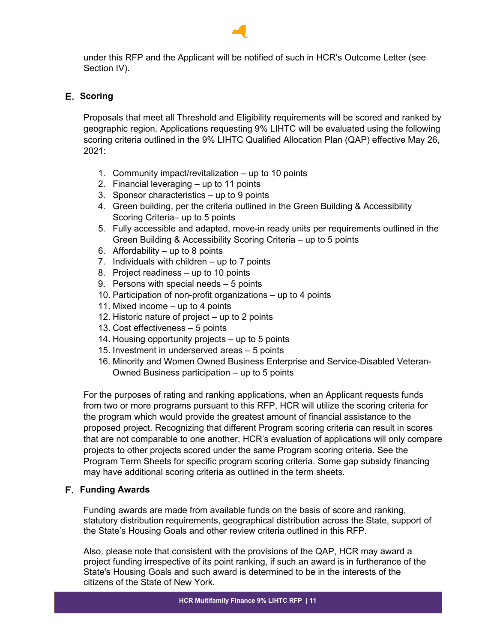under this RFP and the Applicant will be notified of such in HCR's Outcome Letter (see Section IV).

# <span id="page-10-0"></span>**E.** Scoring

Proposals that meet all Threshold and Eligibility requirements will be scored and ranked by geographic region. Applications requesting 9% LIHTC will be evaluated using the following scoring criteria outlined in the 9% LIHTC Qualified Allocation Plan (QAP) effective May 26, 2021:

- 1. Community impact/revitalization up to 10 points
- 2. Financial leveraging up to 11 points
- 3. Sponsor characteristics up to 9 points
- 4. Green building, per the criteria outlined in the Green Building & Accessibility Scoring Criteria– up to 5 points
- 5. Fully accessible and adapted, move-in ready units per requirements outlined in the Green Building & Accessibility Scoring Criteria – up to 5 points
- 6. Affordability  $-$  up to 8 points
- 7. Individuals with children up to 7 points
- 8. Project readiness up to 10 points
- 9. Persons with special needs 5 points
- 10. Participation of non-profit organizations up to 4 points
- 11. Mixed income up to 4 points
- 12. Historic nature of project up to 2 points
- 13. Cost effectiveness 5 points
- 14. Housing opportunity projects up to 5 points
- 15. Investment in underserved areas 5 points
- 16. Minority and Women Owned Business Enterprise and Service-Disabled Veteran-Owned Business participation – up to 5 points

For the purposes of rating and ranking applications, when an Applicant requests funds from two or more programs pursuant to this RFP, HCR will utilize the scoring criteria for the program which would provide the greatest amount of financial assistance to the proposed project. Recognizing that different Program scoring criteria can result in scores that are not comparable to one another, HCR's evaluation of applications will only compare projects to other projects scored under the same Program scoring criteria. See the Program Term Sheets for specific program scoring criteria. Some gap subsidy financing may have additional scoring criteria as outlined in the term sheets.

# <span id="page-10-1"></span>**F.** Funding Awards

Funding awards are made from available funds on the basis of score and ranking, statutory distribution requirements, geographical distribution across the State, support of the State's Housing Goals and other review criteria outlined in this RFP.

Also, please note that consistent with the provisions of the QAP, HCR may award a project funding irrespective of its point ranking, if such an award is in furtherance of the State's Housing Goals and such award is determined to be in the interests of the citizens of the State of New York.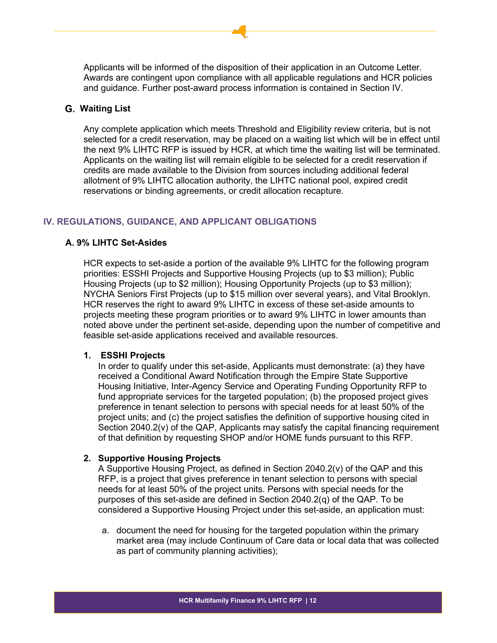Applicants will be informed of the disposition of their application in an Outcome Letter. Awards are contingent upon compliance with all applicable regulations and HCR policies and guidance. Further post-award process information is contained in Section IV.

#### <span id="page-11-0"></span>**Waiting List**

Any complete application which meets Threshold and Eligibility review criteria, but is not selected for a credit reservation, may be placed on a waiting list which will be in effect until the next 9% LIHTC RFP is issued by HCR, at which time the waiting list will be terminated. Applicants on the waiting list will remain eligible to be selected for a credit reservation if credits are made available to the Division from sources including additional federal allotment of 9% LIHTC allocation authority, the LIHTC national pool, expired credit reservations or binding agreements, or credit allocation recapture.

#### <span id="page-11-1"></span>**IV. REGULATIONS, GUIDANCE, AND APPLICANT OBLIGATIONS**

#### <span id="page-11-2"></span>**A. 9% LIHTC Set-Asides**

HCR expects to set-aside a portion of the available 9% LIHTC for the following program priorities: ESSHI Projects and Supportive Housing Projects (up to \$3 million); Public Housing Projects (up to \$2 million); Housing Opportunity Projects (up to \$3 million); NYCHA Seniors First Projects (up to \$15 million over several years), and Vital Brooklyn. HCR reserves the right to award 9% LIHTC in excess of these set-aside amounts to projects meeting these program priorities or to award 9% LIHTC in lower amounts than noted above under the pertinent set-aside, depending upon the number of competitive and feasible set-aside applications received and available resources.

#### **1. ESSHI Projects**

In order to qualify under this set-aside, Applicants must demonstrate: (a) they have received a Conditional Award Notification through the Empire State Supportive Housing Initiative, Inter-Agency Service and Operating Funding Opportunity RFP to fund appropriate services for the targeted population; (b) the proposed project gives preference in tenant selection to persons with special needs for at least 50% of the project units; and (c) the project satisfies the definition of supportive housing cited in Section 2040.2(v) of the QAP, Applicants may satisfy the capital financing requirement of that definition by requesting SHOP and/or HOME funds pursuant to this RFP.

#### **2. Supportive Housing Projects**

A Supportive Housing Project, as defined in Section 2040.2(v) of the QAP and this RFP, is a project that gives preference in tenant selection to persons with special needs for at least 50% of the project units. Persons with special needs for the purposes of this set-aside are defined in Section 2040.2(q) of the QAP. To be considered a Supportive Housing Project under this set-aside, an application must:

a. document the need for housing for the targeted population within the primary market area (may include Continuum of Care data or local data that was collected as part of community planning activities);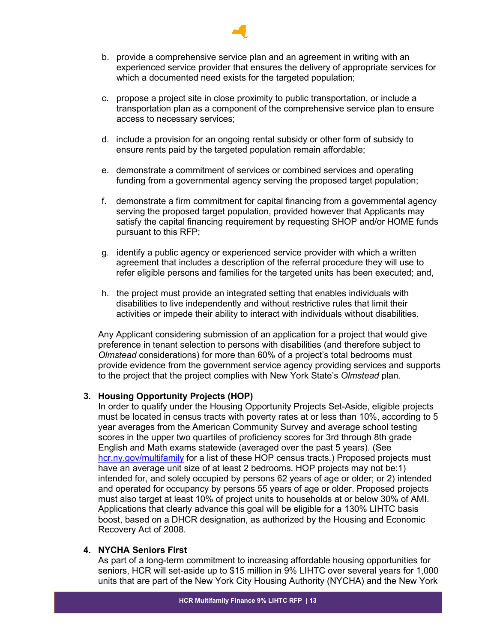- b. provide a comprehensive service plan and an agreement in writing with an experienced service provider that ensures the delivery of appropriate services for which a documented need exists for the targeted population;
- c. propose a project site in close proximity to public transportation, or include a transportation plan as a component of the comprehensive service plan to ensure access to necessary services;
- d. include a provision for an ongoing rental subsidy or other form of subsidy to ensure rents paid by the targeted population remain affordable;
- e. demonstrate a commitment of services or combined services and operating funding from a governmental agency serving the proposed target population;
- f. demonstrate a firm commitment for capital financing from a governmental agency serving the proposed target population, provided however that Applicants may satisfy the capital financing requirement by requesting SHOP and/or HOME funds pursuant to this RFP;
- g. identify a public agency or experienced service provider with which a written agreement that includes a description of the referral procedure they will use to refer eligible persons and families for the targeted units has been executed; and,
- h. the project must provide an integrated setting that enables individuals with disabilities to live independently and without restrictive rules that limit their activities or impede their ability to interact with individuals without disabilities.

Any Applicant considering submission of an application for a project that would give preference in tenant selection to persons with disabilities (and therefore subject to *Olmstead* considerations) for more than 60% of a project's total bedrooms must provide evidence from the government service agency providing services and supports to the project that the project complies with New York State's *Olmstead* plan.

#### **3. Housing Opportunity Projects (HOP)**

In order to qualify under the Housing Opportunity Projects Set-Aside, eligible projects must be located in census tracts with poverty rates at or less than 10%, according to 5 year averages from the American Community Survey and average school testing scores in the upper two quartiles of proficiency scores for 3rd through 8th grade English and Math exams statewide (averaged over the past 5 years). (See [hcr.ny.gov/multifamily](https://hcr.ny.gov/multifamily) for a list of these HOP census tracts.) Proposed projects must have an average unit size of at least 2 bedrooms. HOP projects may not be:1) intended for, and solely occupied by persons 62 years of age or older; or 2) intended and operated for occupancy by persons 55 years of age or older. Proposed projects must also target at least 10% of project units to households at or below 30% of AMI. Applications that clearly advance this goal will be eligible for a 130% LIHTC basis boost, based on a DHCR designation, as authorized by the Housing and Economic Recovery Act of 2008.

#### **4. NYCHA Seniors First**

As part of a long-term commitment to increasing affordable housing opportunities for seniors, HCR will set-aside up to \$15 million in 9% LIHTC over several years for 1,000 units that are part of the New York City Housing Authority (NYCHA) and the New York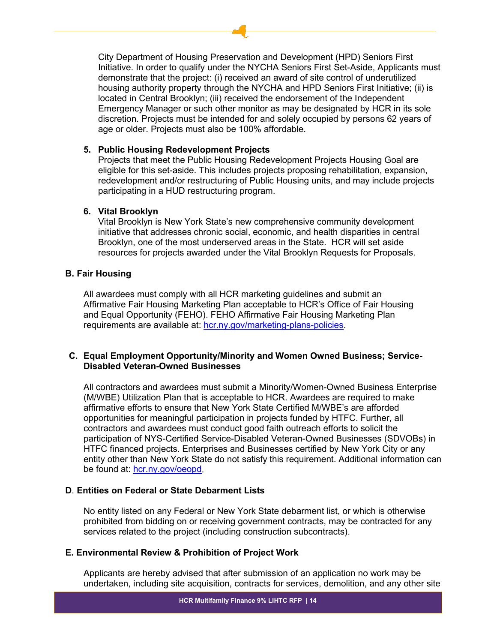City Department of Housing Preservation and Development (HPD) Seniors First Initiative. In order to qualify under the NYCHA Seniors First Set-Aside, Applicants must demonstrate that the project: (i) received an award of site control of underutilized housing authority property through the NYCHA and HPD Seniors First Initiative; (ii) is located in Central Brooklyn; (iii) received the endorsement of the Independent Emergency Manager or such other monitor as may be designated by HCR in its sole discretion. Projects must be intended for and solely occupied by persons 62 years of age or older. Projects must also be 100% affordable.

## **5. Public Housing Redevelopment Projects**

Projects that meet the Public Housing Redevelopment Projects Housing Goal are eligible for this set-aside. This includes projects proposing rehabilitation, expansion, redevelopment and/or restructuring of Public Housing units, and may include projects participating in a HUD restructuring program.

## **6. Vital Brooklyn**

Vital Brooklyn is New York State's new comprehensive community development initiative that addresses chronic social, economic, and health disparities in central Brooklyn, one of the most underserved areas in the State. HCR will set aside resources for projects awarded under the Vital Brooklyn Requests for Proposals.

## <span id="page-13-0"></span>**B. Fair Housing**

All awardees must comply with all HCR marketing guidelines and submit an Affirmative Fair Housing Marketing Plan acceptable to HCR's Office of Fair Housing and Equal Opportunity (FEHO). FEHO Affirmative Fair Housing Marketing Plan requirements are available at: [hcr.ny.gov/marketing-plans-policies.](https://hcr.ny.gov/marketing-plans-policies)

# <span id="page-13-1"></span>**C. Equal Employment Opportunity/Minority and Women Owned Business; Service-Disabled Veteran-Owned Businesses**

All contractors and awardees must submit a Minority/Women-Owned Business Enterprise (M/WBE) Utilization Plan that is acceptable to HCR. Awardees are required to make affirmative efforts to ensure that New York State Certified M/WBE's are afforded opportunities for meaningful participation in projects funded by HTFC. Further, all contractors and awardees must conduct good faith outreach efforts to solicit the participation of NYS-Certified Service-Disabled Veteran-Owned Businesses (SDVOBs) in HTFC financed projects. Enterprises and Businesses certified by New York City or any entity other than New York State do not satisfy this requirement. Additional information can be found at: [hcr.ny.gov/oeopd.](https://hcr.ny.gov/oeopd)

# <span id="page-13-2"></span>**D**. **Entities on Federal or State Debarment Lists**

No entity listed on any Federal or New York State debarment list, or which is otherwise prohibited from bidding on or receiving government contracts, may be contracted for any services related to the project (including construction subcontracts).

# <span id="page-13-3"></span>**E. Environmental Review & Prohibition of Project Work**

Applicants are hereby advised that after submission of an application no work may be undertaken, including site acquisition, contracts for services, demolition, and any other site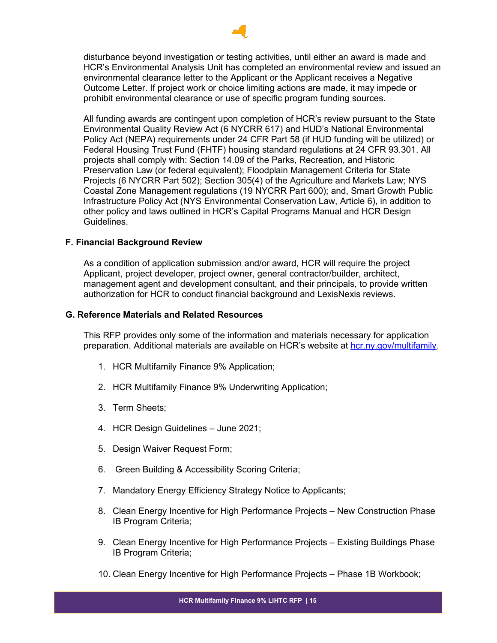disturbance beyond investigation or testing activities, until either an award is made and HCR's Environmental Analysis Unit has completed an environmental review and issued an environmental clearance letter to the Applicant or the Applicant receives a Negative Outcome Letter. If project work or choice limiting actions are made, it may impede or prohibit environmental clearance or use of specific program funding sources.

All funding awards are contingent upon completion of HCR's review pursuant to the State Environmental Quality Review Act (6 NYCRR 617) and HUD's National Environmental Policy Act (NEPA) requirements under 24 CFR Part 58 (if HUD funding will be utilized) or Federal Housing Trust Fund (FHTF) housing standard regulations at 24 CFR 93.301. All projects shall comply with: Section 14.09 of the Parks, Recreation, and Historic Preservation Law (or federal equivalent); Floodplain Management Criteria for State Projects (6 NYCRR Part 502); Section 305(4) of the Agriculture and Markets Law; NYS Coastal Zone Management regulations (19 NYCRR Part 600); and, Smart Growth Public Infrastructure Policy Act (NYS Environmental Conservation Law, Article 6), in addition to other policy and laws outlined in HCR's Capital Programs Manual and HCR Design Guidelines.

#### <span id="page-14-0"></span>**F. Financial Background Review**

As a condition of application submission and/or award, HCR will require the project Applicant, project developer, project owner, general contractor/builder, architect, management agent and development consultant, and their principals, to provide written authorization for HCR to conduct financial background and LexisNexis reviews.

## <span id="page-14-1"></span>**G. Reference Materials and Related Resources**

This RFP provides only some of the information and materials necessary for application preparation. Additional materials are available on HCR's website at [hcr.ny.gov/multifamily.](https://hcr.ny.gov/multifamily)

- 1. HCR Multifamily Finance 9% Application;
- 2. HCR Multifamily Finance 9% Underwriting Application;
- 3. Term Sheets;
- 4. HCR Design Guidelines June 2021;
- 5. Design Waiver Request Form;
- 6. Green Building & Accessibility Scoring Criteria;
- 7. Mandatory Energy Efficiency Strategy Notice to Applicants;
- 8. Clean Energy Incentive for High Performance Projects New Construction Phase IB Program Criteria;
- 9. Clean Energy Incentive for High Performance Projects Existing Buildings Phase IB Program Criteria;
- 10. Clean Energy Incentive for High Performance Projects Phase 1B Workbook;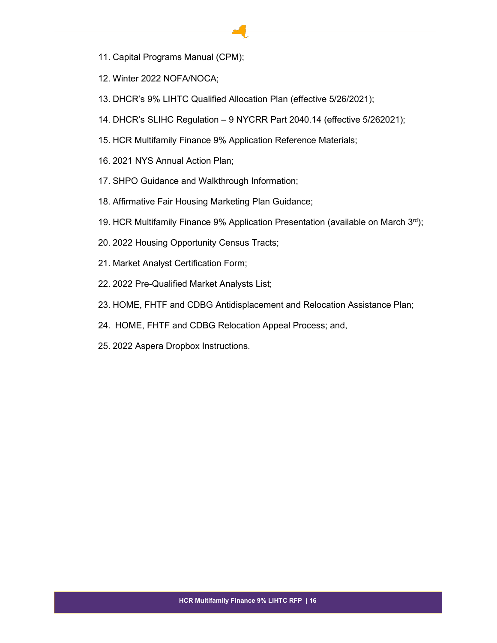- 11. Capital Programs Manual (CPM);
- 12. Winter 2022 NOFA/NOCA;
- 13. DHCR's 9% LIHTC Qualified Allocation Plan (effective 5/26/2021);
- 14. DHCR's SLIHC Regulation 9 NYCRR Part 2040.14 (effective 5/262021);
- 15. HCR Multifamily Finance 9% Application Reference Materials;
- 16. 2021 NYS Annual Action Plan;
- 17. SHPO Guidance and Walkthrough Information;
- 18. Affirmative Fair Housing Marketing Plan Guidance;
- 19. HCR Multifamily Finance 9% Application Presentation (available on March 3rd);
- 20. 2022 Housing Opportunity Census Tracts;
- 21. Market Analyst Certification Form;
- 22. 2022 Pre-Qualified Market Analysts List;
- 23. HOME, FHTF and CDBG Antidisplacement and Relocation Assistance Plan;
- 24. HOME, FHTF and CDBG Relocation Appeal Process; and,
- 25. 2022 Aspera Dropbox Instructions.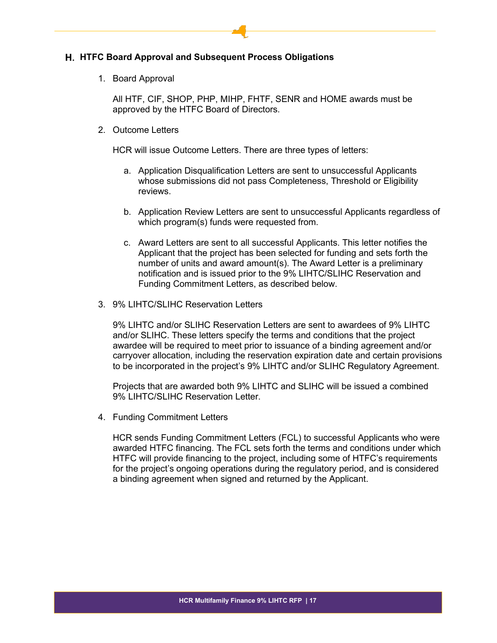#### <span id="page-16-0"></span>**H. HTFC Board Approval and Subsequent Process Obligations**

1. Board Approval

All HTF, CIF, SHOP, PHP, MIHP, FHTF, SENR and HOME awards must be approved by the HTFC Board of Directors.

2. Outcome Letters

HCR will issue Outcome Letters. There are three types of letters:

- a. Application Disqualification Letters are sent to unsuccessful Applicants whose submissions did not pass Completeness, Threshold or Eligibility reviews.
- b. Application Review Letters are sent to unsuccessful Applicants regardless of which program(s) funds were requested from.
- c. Award Letters are sent to all successful Applicants. This letter notifies the Applicant that the project has been selected for funding and sets forth the number of units and award amount(s). The Award Letter is a preliminary notification and is issued prior to the 9% LIHTC/SLIHC Reservation and Funding Commitment Letters, as described below.
- 3. 9% LIHTC/SLIHC Reservation Letters

9% LIHTC and/or SLIHC Reservation Letters are sent to awardees of 9% LIHTC and/or SLIHC. These letters specify the terms and conditions that the project awardee will be required to meet prior to issuance of a binding agreement and/or carryover allocation, including the reservation expiration date and certain provisions to be incorporated in the project's 9% LIHTC and/or SLIHC Regulatory Agreement.

Projects that are awarded both 9% LIHTC and SLIHC will be issued a combined 9% LIHTC/SLIHC Reservation Letter.

4. Funding Commitment Letters

HCR sends Funding Commitment Letters (FCL) to successful Applicants who were awarded HTFC financing. The FCL sets forth the terms and conditions under which HTFC will provide financing to the project, including some of HTFC's requirements for the project's ongoing operations during the regulatory period, and is considered a binding agreement when signed and returned by the Applicant.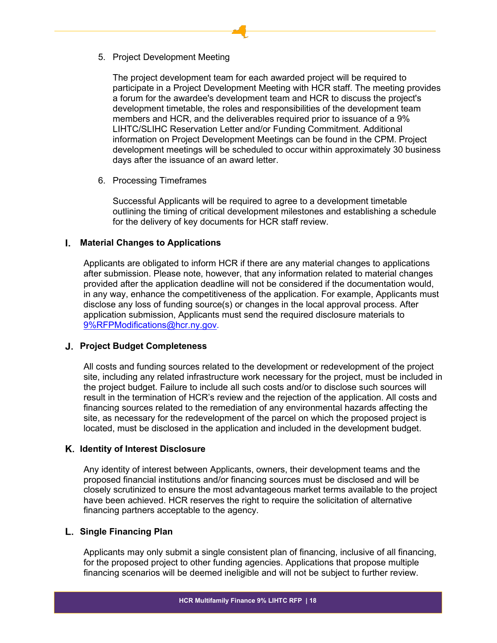5. Project Development Meeting

The project development team for each awarded project will be required to participate in a Project Development Meeting with HCR staff. The meeting provides a forum for the awardee's development team and HCR to discuss the project's development timetable, the roles and responsibilities of the development team members and HCR, and the deliverables required prior to issuance of a 9% LIHTC/SLIHC Reservation Letter and/or Funding Commitment. Additional information on Project Development Meetings can be found in the CPM. Project development meetings will be scheduled to occur within approximately 30 business days after the issuance of an award letter.

6. Processing Timeframes

Successful Applicants will be required to agree to a development timetable outlining the timing of critical development milestones and establishing a schedule for the delivery of key documents for HCR staff review.

## <span id="page-17-0"></span>**Material Changes to Applications**

Applicants are obligated to inform HCR if there are any material changes to applications after submission. Please note, however, that any information related to material changes provided after the application deadline will not be considered if the documentation would, in any way, enhance the competitiveness of the application. For example, Applicants must disclose any loss of funding source(s) or changes in the local approval process. After application submission, Applicants must send the required disclosure materials to [9%RFPModifications@hcr.ny.gov.](mailto:9%25RFPModifications@hcr.ny.gov)

#### <span id="page-17-1"></span>**Project Budget Completeness**

All costs and funding sources related to the development or redevelopment of the project site, including any related infrastructure work necessary for the project, must be included in the project budget. Failure to include all such costs and/or to disclose such sources will result in the termination of HCR's review and the rejection of the application. All costs and financing sources related to the remediation of any environmental hazards affecting the site, as necessary for the redevelopment of the parcel on which the proposed project is located, must be disclosed in the application and included in the development budget.

#### <span id="page-17-2"></span>**Identity of Interest Disclosure**

Any identity of interest between Applicants, owners, their development teams and the proposed financial institutions and/or financing sources must be disclosed and will be closely scrutinized to ensure the most advantageous market terms available to the project have been achieved. HCR reserves the right to require the solicitation of alternative financing partners acceptable to the agency.

#### <span id="page-17-3"></span>**Single Financing Plan**

Applicants may only submit a single consistent plan of financing, inclusive of all financing, for the proposed project to other funding agencies. Applications that propose multiple financing scenarios will be deemed ineligible and will not be subject to further review.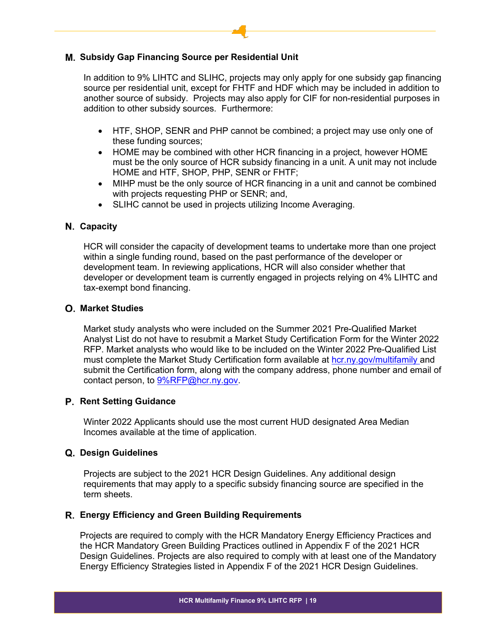# <span id="page-18-0"></span>**Subsidy Gap Financing Source per Residential Unit**

In addition to 9% LIHTC and SLIHC, projects may only apply for one subsidy gap financing source per residential unit, except for FHTF and HDF which may be included in addition to another source of subsidy. Projects may also apply for CIF for non-residential purposes in addition to other subsidy sources. Furthermore:

- HTF, SHOP, SENR and PHP cannot be combined; a project may use only one of these funding sources;
- HOME may be combined with other HCR financing in a project, however HOME must be the only source of HCR subsidy financing in a unit. A unit may not include HOME and HTF, SHOP, PHP, SENR or FHTF;
- MIHP must be the only source of HCR financing in a unit and cannot be combined with projects requesting PHP or SENR; and,
- SLIHC cannot be used in projects utilizing Income Averaging.

## <span id="page-18-1"></span>**Capacity**

HCR will consider the capacity of development teams to undertake more than one project within a single funding round, based on the past performance of the developer or development team. In reviewing applications, HCR will also consider whether that developer or development team is currently engaged in projects relying on 4% LIHTC and tax-exempt bond financing.

#### <span id="page-18-2"></span>**Market Studies**

Market study analysts who were included on the Summer 2021 Pre-Qualified Market Analyst List do not have to resubmit a Market Study Certification Form for the Winter 2022 RFP. Market analysts who would like to be included on the Winter 2022 Pre-Qualified List must complete the Market Study Certification form available at [hcr.ny.gov/multifamily](https://hcr.ny.gov/multifamily) and submit the Certification form, along with the company address, phone number and email of contact person, to [9%RFP@hcr.ny.gov.](mailto:9%25RFP@hcr.ny.gov)

#### <span id="page-18-3"></span>**Rent Setting Guidance**

Winter 2022 Applicants should use the most current HUD designated Area Median Incomes available at the time of application.

#### <span id="page-18-4"></span>**Design Guidelines**

Projects are subject to the 2021 HCR Design Guidelines. Any additional design requirements that may apply to a specific subsidy financing source are specified in the term sheets.

#### <span id="page-18-5"></span>**Energy Efficiency and Green Building Requirements**

Projects are required to comply with the HCR Mandatory Energy Efficiency Practices and the HCR Mandatory Green Building Practices outlined in Appendix F of the 2021 HCR Design Guidelines. Projects are also required to comply with at least one of the Mandatory Energy Efficiency Strategies listed in Appendix F of the 2021 HCR Design Guidelines.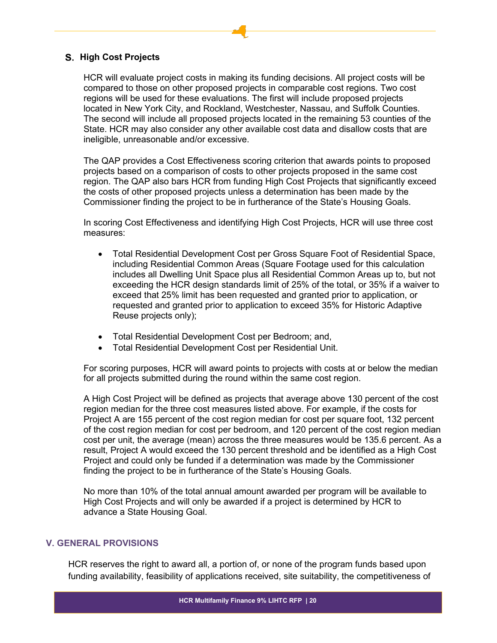#### <span id="page-19-0"></span>**High Cost Projects**

HCR will evaluate project costs in making its funding decisions. All project costs will be compared to those on other proposed projects in comparable cost regions. Two cost regions will be used for these evaluations. The first will include proposed projects located in New York City, and Rockland, Westchester, Nassau, and Suffolk Counties. The second will include all proposed projects located in the remaining 53 counties of the State. HCR may also consider any other available cost data and disallow costs that are ineligible, unreasonable and/or excessive.

The QAP provides a Cost Effectiveness scoring criterion that awards points to proposed projects based on a comparison of costs to other projects proposed in the same cost region. The QAP also bars HCR from funding High Cost Projects that significantly exceed the costs of other proposed projects unless a determination has been made by the Commissioner finding the project to be in furtherance of the State's Housing Goals.

In scoring Cost Effectiveness and identifying High Cost Projects, HCR will use three cost measures:

- Total Residential Development Cost per Gross Square Foot of Residential Space, including Residential Common Areas (Square Footage used for this calculation includes all Dwelling Unit Space plus all Residential Common Areas up to, but not exceeding the HCR design standards limit of 25% of the total, or 35% if a waiver to exceed that 25% limit has been requested and granted prior to application, or requested and granted prior to application to exceed 35% for Historic Adaptive Reuse projects only);
- Total Residential Development Cost per Bedroom; and,
- Total Residential Development Cost per Residential Unit.

For scoring purposes, HCR will award points to projects with costs at or below the median for all projects submitted during the round within the same cost region.

A High Cost Project will be defined as projects that average above 130 percent of the cost region median for the three cost measures listed above. For example, if the costs for Project A are 155 percent of the cost region median for cost per square foot, 132 percent of the cost region median for cost per bedroom, and 120 percent of the cost region median cost per unit, the average (mean) across the three measures would be 135.6 percent. As a result, Project A would exceed the 130 percent threshold and be identified as a High Cost Project and could only be funded if a determination was made by the Commissioner finding the project to be in furtherance of the State's Housing Goals.

No more than 10% of the total annual amount awarded per program will be available to High Cost Projects and will only be awarded if a project is determined by HCR to advance a State Housing Goal.

#### <span id="page-19-1"></span>**V. GENERAL PROVISIONS**

HCR reserves the right to award all, a portion of, or none of the program funds based upon funding availability, feasibility of applications received, site suitability, the competitiveness of